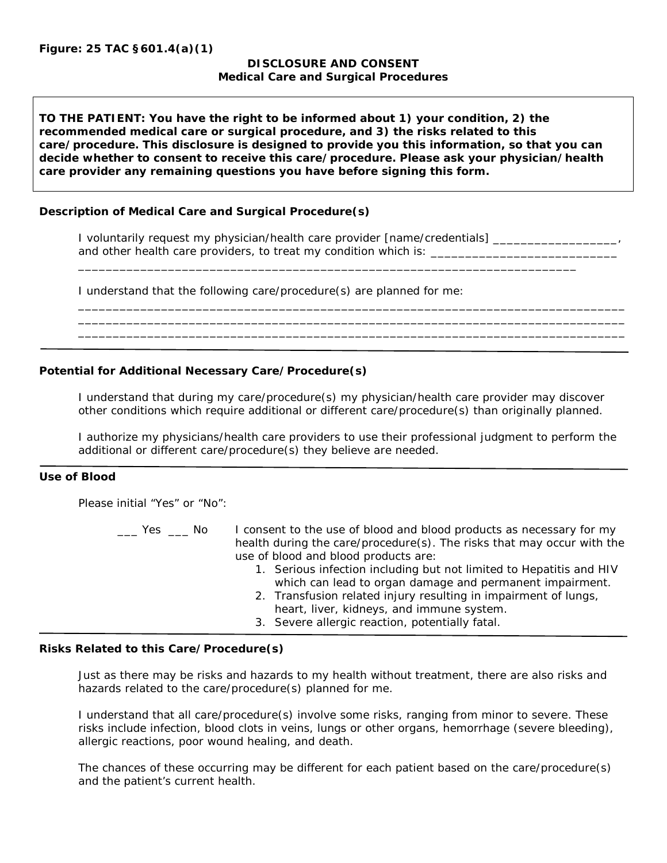## **DISCLOSURE AND CONSENT Medical Care and Surgical Procedures**

**TO THE PATIENT: You have the right to be informed about 1) your condition, 2) the recommended medical care or surgical procedure, and 3) the risks related to this care/procedure. This disclosure is designed to provide you this information, so that you can decide whether to consent to receive this care/procedure. Please ask your physician/health care provider any remaining questions you have before signing this form.**

\_\_\_\_\_\_\_\_\_\_\_\_\_\_\_\_\_\_\_\_\_\_\_\_\_\_\_\_\_\_\_\_\_\_\_\_\_\_\_\_\_\_\_\_\_\_\_\_\_\_\_\_\_\_\_\_\_\_\_\_\_\_\_\_\_\_\_\_\_\_\_\_

## **Description of Medical Care and Surgical Procedure(s)**

I voluntarily request my physician/health care provider [name/credentials] and other health care providers, to treat my condition which is: \_\_\_\_\_\_\_\_\_\_\_\_\_\_\_

I understand that the following care/procedure(s) are planned for me:

## **Potential for Additional Necessary Care/Procedure(s)**

I understand that during my care/procedure(s) my physician/health care provider may discover other conditions which require additional or different care/procedure(s) than originally planned.

\_\_\_\_\_\_\_\_\_\_\_\_\_\_\_\_\_\_\_\_\_\_\_\_\_\_\_\_\_\_\_\_\_\_\_\_\_\_\_\_\_\_\_\_\_\_\_\_\_\_\_\_\_\_\_\_\_\_\_\_\_\_\_\_\_\_\_\_\_\_\_\_\_\_\_\_\_\_\_ \_\_\_\_\_\_\_\_\_\_\_\_\_\_\_\_\_\_\_\_\_\_\_\_\_\_\_\_\_\_\_\_\_\_\_\_\_\_\_\_\_\_\_\_\_\_\_\_\_\_\_\_\_\_\_\_\_\_\_\_\_\_\_\_\_\_\_\_\_\_\_\_\_\_\_\_\_\_\_ \_\_\_\_\_\_\_\_\_\_\_\_\_\_\_\_\_\_\_\_\_\_\_\_\_\_\_\_\_\_\_\_\_\_\_\_\_\_\_\_\_\_\_\_\_\_\_\_\_\_\_\_\_\_\_\_\_\_\_\_\_\_\_\_\_\_\_\_\_\_\_\_\_\_\_\_\_\_\_

I authorize my physicians/health care providers to use their professional judgment to perform the additional or different care/procedure(s) they believe are needed.

## **Use of Blood**

Please initial "Yes" or "No":

- Les  $\Box$  No I consent to the use of blood and blood products as necessary for my health during the care/procedure(s). The risks that may occur with the use of blood and blood products are:
	- 1. Serious infection including but not limited to Hepatitis and HIV which can lead to organ damage and permanent impairment.
	- 2. Transfusion related injury resulting in impairment of lungs, heart, liver, kidneys, and immune system.
	- 3. Severe allergic reaction, potentially fatal.

## **Risks Related to this Care/Procedure(s)**

Just as there may be risks and hazards to my health without treatment, there are also risks and hazards related to the care/procedure(s) planned for me.

I understand that all care/procedure(s) involve some risks, ranging from minor to severe. These risks include infection, blood clots in veins, lungs or other organs, hemorrhage (severe bleeding), allergic reactions, poor wound healing, and death.

The chances of these occurring may be different for each patient based on the care/procedure(s) and the patient's current health.